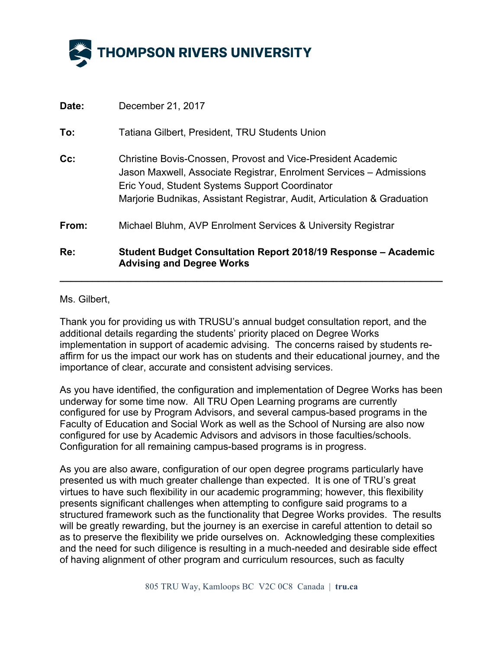

| To:    | Tatiana Gilbert, President, TRU Students Union                                                                                                                                                                                                                           |
|--------|--------------------------------------------------------------------------------------------------------------------------------------------------------------------------------------------------------------------------------------------------------------------------|
| $Cc$ : | <b>Christine Bovis-Cnossen, Provost and Vice-President Academic</b><br>Jason Maxwell, Associate Registrar, Enrolment Services – Admissions<br>Eric Youd, Student Systems Support Coordinator<br>Marjorie Budnikas, Assistant Registrar, Audit, Articulation & Graduation |
| From:  | Michael Bluhm, AVP Enrolment Services & University Registrar                                                                                                                                                                                                             |
| Re:    | <b>Student Budget Consultation Report 2018/19 Response – Academic</b><br><b>Advising and Degree Works</b>                                                                                                                                                                |

## Ms. Gilbert,

Thank you for providing us with TRUSU's annual budget consultation report, and the additional details regarding the students' priority placed on Degree Works implementation in support of academic advising. The concerns raised by students reaffirm for us the impact our work has on students and their educational journey, and the importance of clear, accurate and consistent advising services.

As you have identified, the configuration and implementation of Degree Works has been underway for some time now. All TRU Open Learning programs are currently configured for use by Program Advisors, and several campus-based programs in the Faculty of Education and Social Work as well as the School of Nursing are also now configured for use by Academic Advisors and advisors in those faculties/schools. Configuration for all remaining campus-based programs is in progress.

As you are also aware, configuration of our open degree programs particularly have presented us with much greater challenge than expected. It is one of TRU's great virtues to have such flexibility in our academic programming; however, this flexibility presents significant challenges when attempting to configure said programs to a structured framework such as the functionality that Degree Works provides. The results will be greatly rewarding, but the journey is an exercise in careful attention to detail so as to preserve the flexibility we pride ourselves on. Acknowledging these complexities and the need for such diligence is resulting in a much-needed and desirable side effect of having alignment of other program and curriculum resources, such as faculty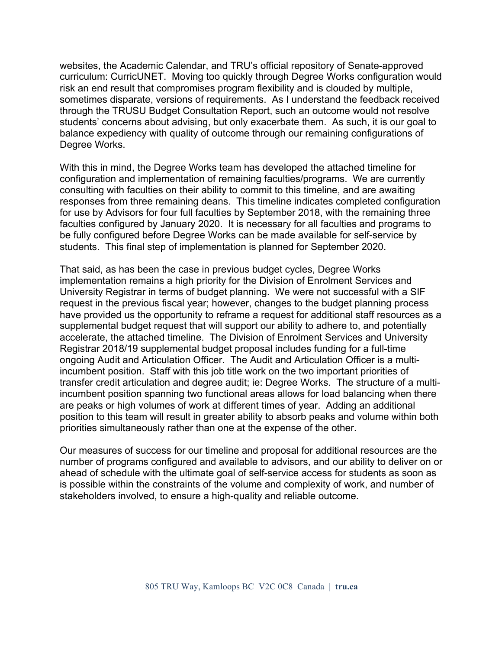websites, the Academic Calendar, and TRU's official repository of Senate-approved curriculum: CurricUNET. Moving too quickly through Degree Works configuration would risk an end result that compromises program flexibility and is clouded by multiple, sometimes disparate, versions of requirements. As I understand the feedback received through the TRUSU Budget Consultation Report, such an outcome would not resolve students' concerns about advising, but only exacerbate them. As such, it is our goal to balance expediency with quality of outcome through our remaining configurations of Degree Works.

With this in mind, the Degree Works team has developed the attached timeline for configuration and implementation of remaining faculties/programs. We are currently consulting with faculties on their ability to commit to this timeline, and are awaiting responses from three remaining deans. This timeline indicates completed configuration for use by Advisors for four full faculties by September 2018, with the remaining three faculties configured by January 2020. It is necessary for all faculties and programs to be fully configured before Degree Works can be made available for self-service by students. This final step of implementation is planned for September 2020.

That said, as has been the case in previous budget cycles, Degree Works implementation remains a high priority for the Division of Enrolment Services and University Registrar in terms of budget planning. We were not successful with a SIF request in the previous fiscal year; however, changes to the budget planning process have provided us the opportunity to reframe a request for additional staff resources as a supplemental budget request that will support our ability to adhere to, and potentially accelerate, the attached timeline. The Division of Enrolment Services and University Registrar 2018/19 supplemental budget proposal includes funding for a full-time ongoing Audit and Articulation Officer. The Audit and Articulation Officer is a multiincumbent position. Staff with this job title work on the two important priorities of transfer credit articulation and degree audit; ie: Degree Works. The structure of a multiincumbent position spanning two functional areas allows for load balancing when there are peaks or high volumes of work at different times of year. Adding an additional position to this team will result in greater ability to absorb peaks and volume within both priorities simultaneously rather than one at the expense of the other.

Our measures of success for our timeline and proposal for additional resources are the number of programs configured and available to advisors, and our ability to deliver on or ahead of schedule with the ultimate goal of self-service access for students as soon as is possible within the constraints of the volume and complexity of work, and number of stakeholders involved, to ensure a high-quality and reliable outcome.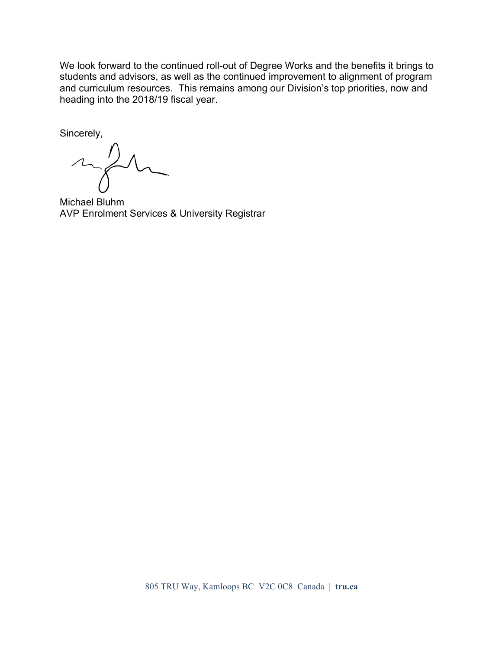We look forward to the continued roll-out of Degree Works and the benefits it brings to students and advisors, as well as the continued improvement to alignment of program and curriculum resources. This remains among our Division's top priorities, now and heading into the 2018/19 fiscal year.

Sincerely,

 $\sim\hspace{-2.1mm}\nearrow$ 

Michael Bluhm AVP Enrolment Services & University Registrar